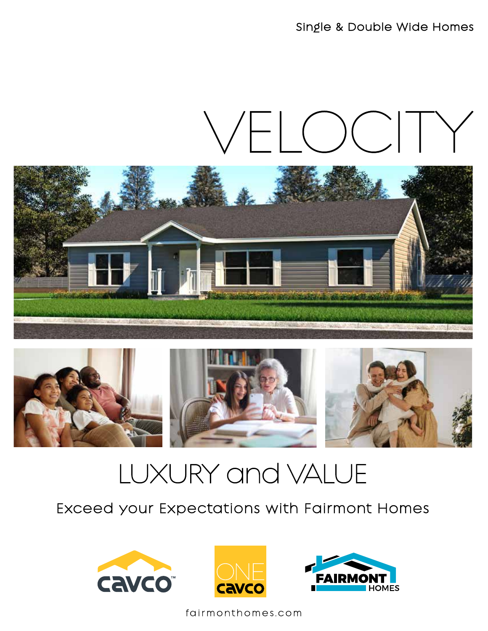Single & Double Wide Homes

# VELOCIT





## LUXURY and VALUE

### Exceed your Expectations with Fairmont Homes







fairmonthomes.com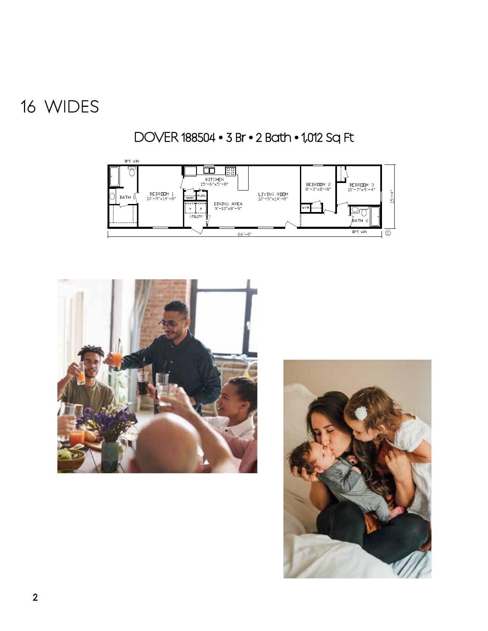### WIDES

DOVER 188504 • 3 Br • 2 Bath • 1,012 Sq Ft





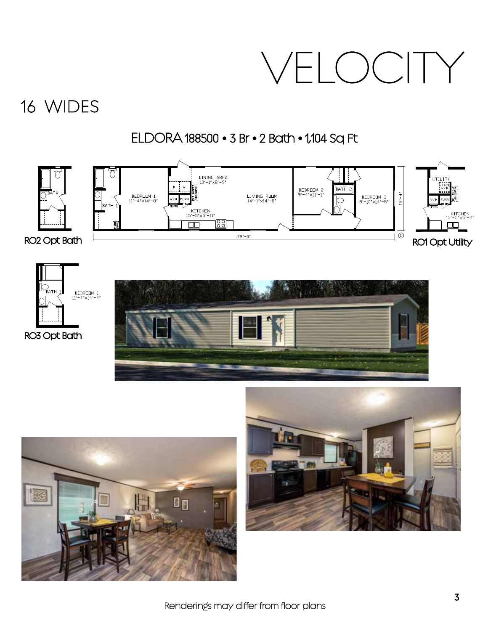## WIDES 16

### ELDORA 188500 • 3 Br • 2 Bath • 1,104 Sq Ft





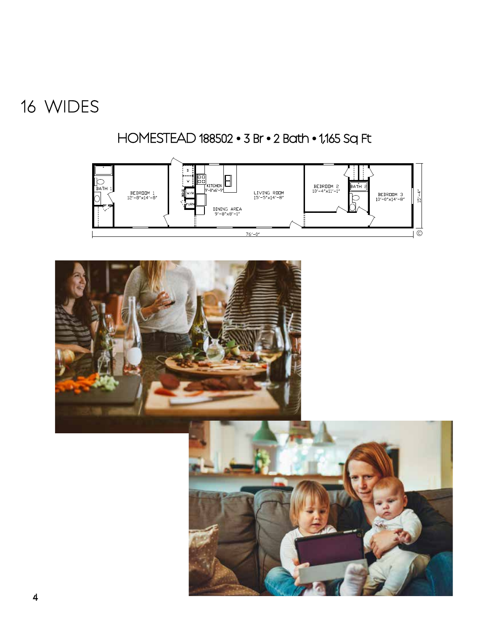## WIDES

HOMESTEAD 188502 • 3 Br • 2 Bath • 1,165 Sq Ft



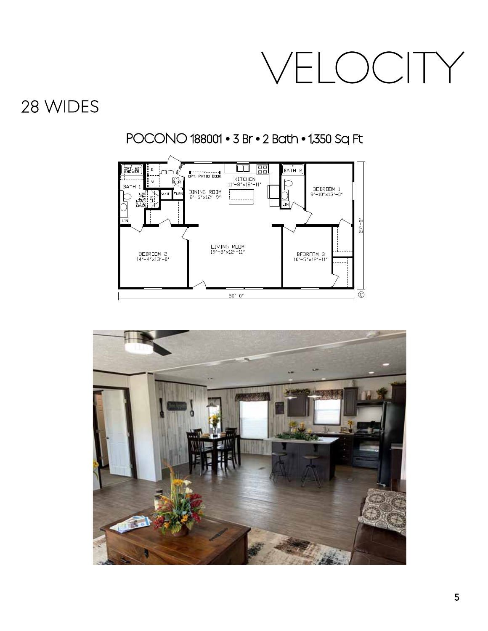## 28 WIDES

### POCONO 188001 • 3 Br • 2 Bath • 1,350 Sq Ft



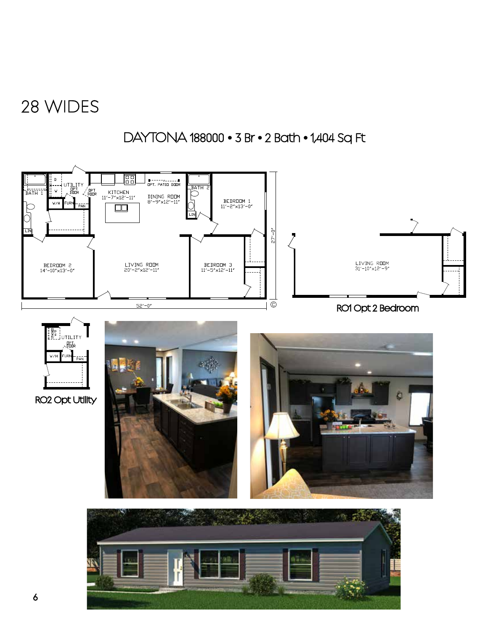## 28 WIDES

#### DAYTONA 188000 • 3 Br • 2 Bath • 1,404 Sq Ft

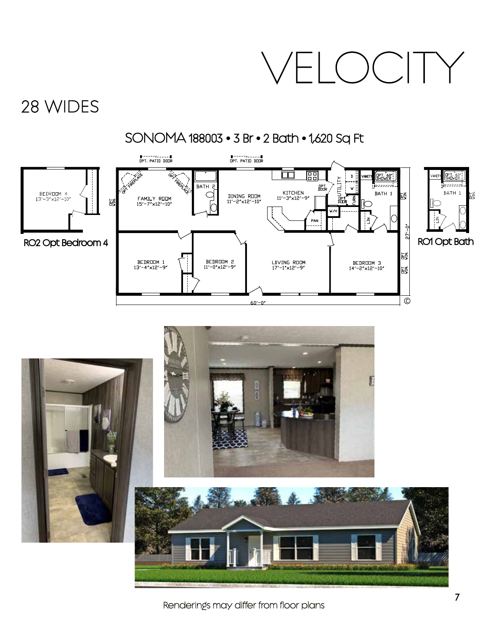## 28 WIDES